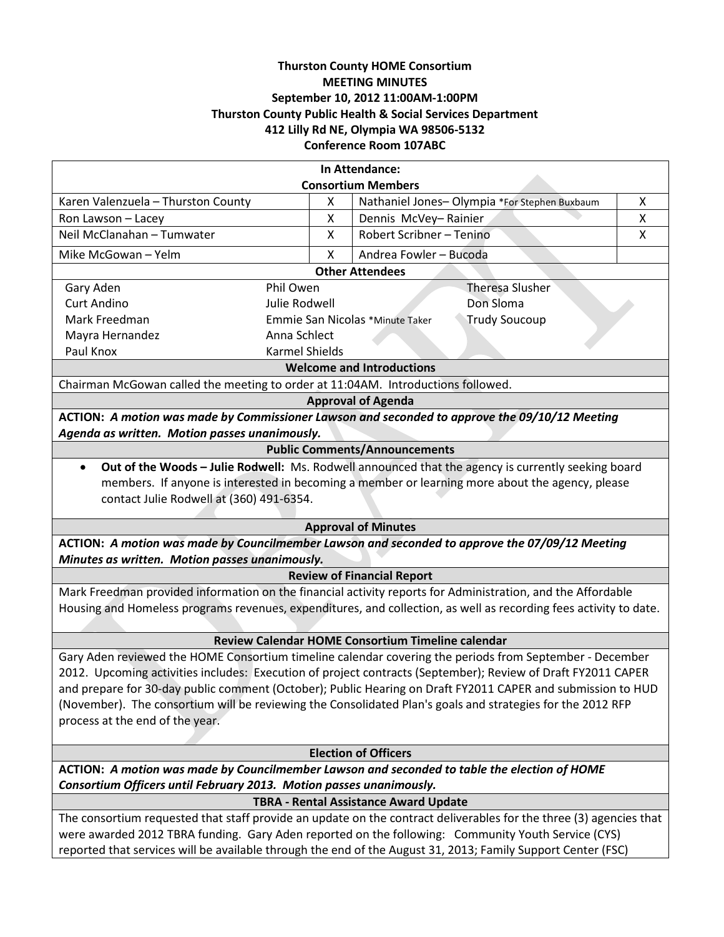# **Thurston County HOME Consortium MEETING MINUTES September 10, 2012 11:00AM-1:00PM Thurston County Public Health & Social Services Department 412 Lilly Rd NE, Olympia WA 98506-5132 Conference Room 107ABC**

| In Attendance:                                                                                                     |                                                         |                                              |   |  |
|--------------------------------------------------------------------------------------------------------------------|---------------------------------------------------------|----------------------------------------------|---|--|
| <b>Consortium Members</b>                                                                                          |                                                         |                                              |   |  |
| Karen Valenzuela - Thurston County                                                                                 | Χ                                                       | Nathaniel Jones-Olympia *For Stephen Buxbaum | X |  |
| Ron Lawson - Lacey                                                                                                 | X                                                       | Dennis McVey-Rainier                         | X |  |
| Neil McClanahan - Tumwater                                                                                         | Χ                                                       | Robert Scribner - Tenino                     | X |  |
| Mike McGowan - Yelm                                                                                                | X                                                       | Andrea Fowler - Bucoda                       |   |  |
| <b>Other Attendees</b>                                                                                             |                                                         |                                              |   |  |
| Gary Aden<br>Phil Owen                                                                                             |                                                         | Theresa Slusher                              |   |  |
| <b>Curt Andino</b><br>Julie Rodwell                                                                                |                                                         | Don Sloma                                    |   |  |
| Mark Freedman                                                                                                      | <b>Trudy Soucoup</b><br>Emmie San Nicolas *Minute Taker |                                              |   |  |
| Anna Schlect<br>Mayra Hernandez                                                                                    |                                                         |                                              |   |  |
| Paul Knox<br><b>Karmel Shields</b>                                                                                 |                                                         |                                              |   |  |
| <b>Welcome and Introductions</b>                                                                                   |                                                         |                                              |   |  |
| Chairman McGowan called the meeting to order at 11:04AM. Introductions followed.                                   |                                                         |                                              |   |  |
| <b>Approval of Agenda</b>                                                                                          |                                                         |                                              |   |  |
| ACTION: A motion was made by Commissioner Lawson and seconded to approve the 09/10/12 Meeting                      |                                                         |                                              |   |  |
| Agenda as written. Motion passes unanimously.                                                                      |                                                         |                                              |   |  |
| <b>Public Comments/Announcements</b>                                                                               |                                                         |                                              |   |  |
| Out of the Woods - Julie Rodwell: Ms. Rodwell announced that the agency is currently seeking board<br>$\bullet$    |                                                         |                                              |   |  |
| members. If anyone is interested in becoming a member or learning more about the agency, please                    |                                                         |                                              |   |  |
| contact Julie Rodwell at (360) 491-6354.                                                                           |                                                         |                                              |   |  |
|                                                                                                                    |                                                         |                                              |   |  |
| <b>Approval of Minutes</b>                                                                                         |                                                         |                                              |   |  |
| ACTION: A motion was made by Councilmember Lawson and seconded to approve the 07/09/12 Meeting                     |                                                         |                                              |   |  |
| Minutes as written. Motion passes unanimously.                                                                     |                                                         |                                              |   |  |
| <b>Review of Financial Report</b>                                                                                  |                                                         |                                              |   |  |
| Mark Freedman provided information on the financial activity reports for Administration, and the Affordable        |                                                         |                                              |   |  |
| Housing and Homeless programs revenues, expenditures, and collection, as well as recording fees activity to date.  |                                                         |                                              |   |  |
|                                                                                                                    |                                                         |                                              |   |  |
| Review Calendar HOME Consortium Timeline calendar                                                                  |                                                         |                                              |   |  |
| Gary Aden reviewed the HOME Consortium timeline calendar covering the periods from September - December            |                                                         |                                              |   |  |
| 2012. Upcoming activities includes: Execution of project contracts (September); Review of Draft FY2011 CAPER       |                                                         |                                              |   |  |
| and prepare for 30-day public comment (October); Public Hearing on Draft FY2011 CAPER and submission to HUD        |                                                         |                                              |   |  |
| (November). The consortium will be reviewing the Consolidated Plan's goals and strategies for the 2012 RFP         |                                                         |                                              |   |  |
| process at the end of the year.                                                                                    |                                                         |                                              |   |  |
|                                                                                                                    |                                                         |                                              |   |  |
| <b>Election of Officers</b>                                                                                        |                                                         |                                              |   |  |
| ACTION: A motion was made by Councilmember Lawson and seconded to table the election of HOME                       |                                                         |                                              |   |  |
| Consortium Officers until February 2013. Motion passes unanimously.                                                |                                                         |                                              |   |  |
| <b>TBRA - Rental Assistance Award Update</b>                                                                       |                                                         |                                              |   |  |
| The consortium requested that staff provide an update on the contract deliverables for the three (3) agencies that |                                                         |                                              |   |  |
| were awarded 2012 TBRA funding. Gary Aden reported on the following: Community Youth Service (CYS)                 |                                                         |                                              |   |  |
| reported that services will be available through the end of the August 31, 2013; Family Support Center (FSC)       |                                                         |                                              |   |  |
|                                                                                                                    |                                                         |                                              |   |  |